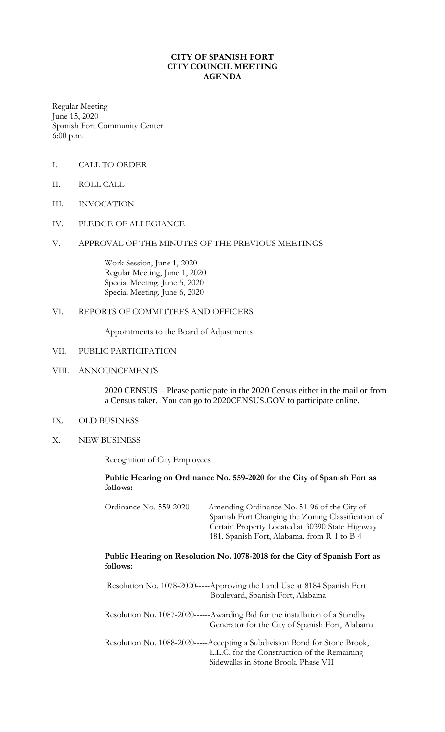# **CITY OF SPANISH FORT CITY COUNCIL MEETING AGENDA**

Regular Meeting June 15, 2020 Spanish Fort Community Center 6:00 p.m.

- I. CALL TO ORDER
- II. ROLL CALL
- III. INVOCATION
- IV. PLEDGE OF ALLEGIANCE
- V. APPROVAL OF THE MINUTES OF THE PREVIOUS MEETINGS

Work Session, June 1, 2020 Regular Meeting, June 1, 2020 Special Meeting, June 5, 2020 Special Meeting, June 6, 2020

### VI. REPORTS OF COMMITTEES AND OFFICERS

Appointments to the Board of Adjustments

#### VII. PUBLIC PARTICIPATION

### VIII. ANNOUNCEMENTS

2020 CENSUS – Please participate in the 2020 Census either in the mail or from a Census taker. You can go to 2020CENSUS.GOV to participate online.

# IX. OLD BUSINESS

X. NEW BUSINESS

Recognition of City Employees

# **Public Hearing on Ordinance No. 559-2020 for the City of Spanish Fort as follows:**

Ordinance No. 559-2020-------Amending Ordinance No. 51-96 of the City of Spanish Fort Changing the Zoning Classification of Certain Property Located at 30390 State Highway 181, Spanish Fort, Alabama, from R-1 to B-4

# **Public Hearing on Resolution No. 1078-2018 for the City of Spanish Fort as follows:**

Resolution No. 1078-2020-----Approving the Land Use at 8184 Spanish Fort Boulevard, Spanish Fort, Alabama Resolution No. 1087-2020------Awarding Bid for the installation of a Standby Generator for the City of Spanish Fort, Alabama Resolution No. 1088-2020-----Accepting a Subdivision Bond for Stone Brook, L.L.C. for the Construction of the Remaining Sidewalks in Stone Brook, Phase VII